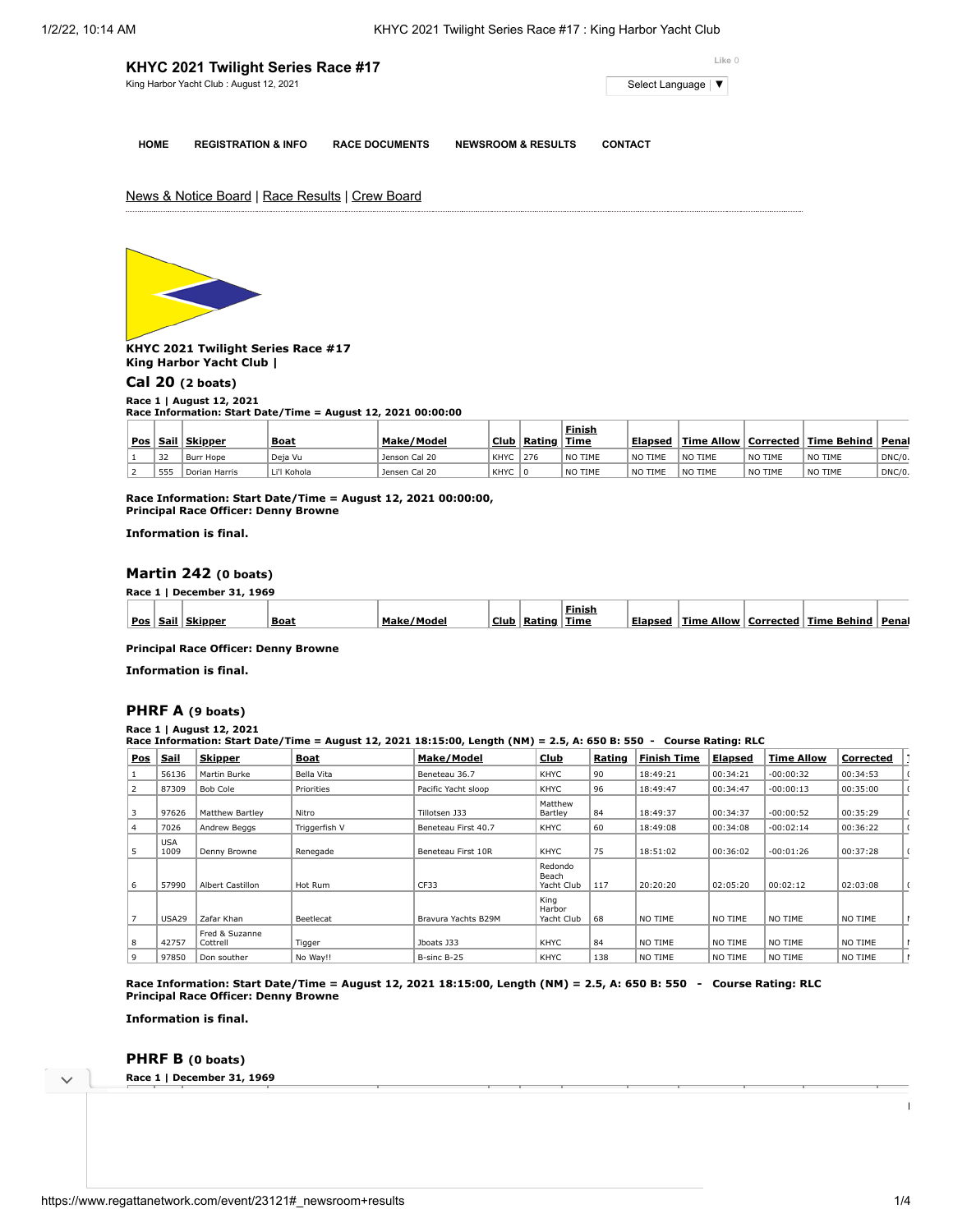| Like 0              |
|---------------------|
| Select Language   ▼ |
|                     |
|                     |

**HOME REGISTRATION & INFO RACE DOCUMENTS NEWSROOM & RESULTS CONTACT**

News & Notice Board | Race Results | Crew Board



**KHYC 2021 Twilight Series Race #17 King Harbor Yacht Club |**

**[Cal 20](https://www.regattanetwork.com/clubmgmt/applet_race_scores_khyc.php?regatta_id=23121&race_num=1) (2 boats)**

## **Race 1 | August 12, 2021**

**Race Information: Start Date/Time = August 12, 2021 00:00:00**

|     |                             |             |               |      |        | Finish  |                   |                |         |                                      |        |
|-----|-----------------------------|-------------|---------------|------|--------|---------|-------------------|----------------|---------|--------------------------------------|--------|
|     | <b>Pos   Sail   Skipper</b> | <b>Boat</b> | Make/Model    | Club | Rating | Time    | Elapsed           |                |         | Time Allow   Corrected   Time Behind | Penal  |
| 32  | Burr Hope                   | Deja Vu     | Jenson Cal 20 | KHYC | 276    | NO TIME | <b>NO</b><br>TIME | <b>NO TIME</b> | NO TIME | NO TIME                              | DNC/0. |
| 555 | <sup>1</sup> Dorian Harris  | Li'l Kohola | Jensen Cal 20 | KHYC |        | NO TIME | <b>NO</b><br>TIME | <b>NO TIME</b> | NO TIME | NO TIME                              | DNC/0. |

**Race Information: Start Date/Time = August 12, 2021 00:00:00, Principal Race Officer: Denny Browne**

**Information is final.**

## **[Martin 242](https://www.regattanetwork.com/clubmgmt/applet_race_scores_khyc.php?regatta_id=23121&race_num=1) (0 boats)**

| Race | December 31, 1969 |                          |             |            |             |        |              |         |  |  |                                      |       |
|------|-------------------|--------------------------|-------------|------------|-------------|--------|--------------|---------|--|--|--------------------------------------|-------|
|      |                   |                          |             |            |             |        | Finish       |         |  |  |                                      |       |
| Pos  |                   | Sail   Skipper  <br>---- | <b>Boat</b> | Make/Model | <b>Club</b> | Rating | <u>`Time</u> | Elapsed |  |  | Time Allow   Corrected   Time Behind | Penal |

**Principal Race Officer: Denny Browne**

**Information is final.**

# **[PHRF A](https://www.regattanetwork.com/clubmgmt/applet_race_scores_khyc.php?regatta_id=23121&race_num=1) (9 boats)**

# **Race 1 | August 12, 2021**

**Race Information: Start Date/Time = August 12, 2021 18:15:00, Length (NM) = 2.5, A: 650 B: 550 - Course Rating: RLC**

| Pos | <u>Sail</u>        | <b>Skipper</b>             | Boat          | Make/Model          | <b>Club</b>                    | Rating | <b>Finish Time</b> | <b>Elapsed</b> | <b>Time Allow</b> | Corrected |  |
|-----|--------------------|----------------------------|---------------|---------------------|--------------------------------|--------|--------------------|----------------|-------------------|-----------|--|
|     | 56136              | Martin Burke               | Bella Vita    | Beneteau 36.7       | KHYC                           | 90     | 18:49:21           | 00:34:21       | $-00:00:32$       | 00:34:53  |  |
|     | 87309              | Bob Cole                   | Priorities    | Pacific Yacht sloop | <b>KHYC</b>                    | 96     | 18:49:47           | 00:34:47       | $-00:00:13$       | 00:35:00  |  |
|     | 97626              | Matthew Bartley            | Nitro         | Tillotsen J33       | Matthew<br>Bartley             | 84     | 18:49:37           | 00:34:37       | $-00:00:52$       | 00:35:29  |  |
| 4   | 7026               | Andrew Beggs               | Triggerfish V | Beneteau First 40.7 | KHYC                           | 60     | 18:49:08           | 00:34:08       | $-00:02:14$       | 00:36:22  |  |
| 5   | <b>USA</b><br>1009 | Denny Browne               | Renegade      | Beneteau First 10R  | <b>KHYC</b>                    | 75     | 18:51:02           | 00:36:02       | $-00:01:26$       | 00:37:28  |  |
| 6   | 57990              | Albert Castillon           | Hot Rum       | CF33                | Redondo<br>Beach<br>Yacht Club | 117    | 20:20:20           | 02:05:20       | 00:02:12          | 02:03:08  |  |
|     | <b>USA29</b>       | Zafar Khan                 | Beetlecat     | Bravura Yachts B29M | King<br>Harbor<br>Yacht Club   | 68     | NO TIME            | NO TIME        | NO TIME           | NO TIME   |  |
| 8   | 42757              | Fred & Suzanne<br>Cottrell | Tigger        | Jboats J33          | KHYC                           | 84     | NO TIME            | NO TIME        | NO TIME           | NO TIME   |  |
| 9   | 97850              | Don souther                | No Wav!!      | B-sinc B-25         | <b>KHYC</b>                    | 138    | NO TIME            | NO TIME        | NO TIME           | NO TIME   |  |

**Race Information: Start Date/Time = August 12, 2021 18:15:00, Length (NM) = 2.5, A: 650 B: 550 - Course Rating: RLC Principal Race Officer: Denny Browne**

**Information is final.**

#### **[PHRF B](https://www.regattanetwork.com/clubmgmt/applet_race_scores_khyc.php?regatta_id=23121&race_num=1) (0 boats)**

**Race 1 | December 31, 1969**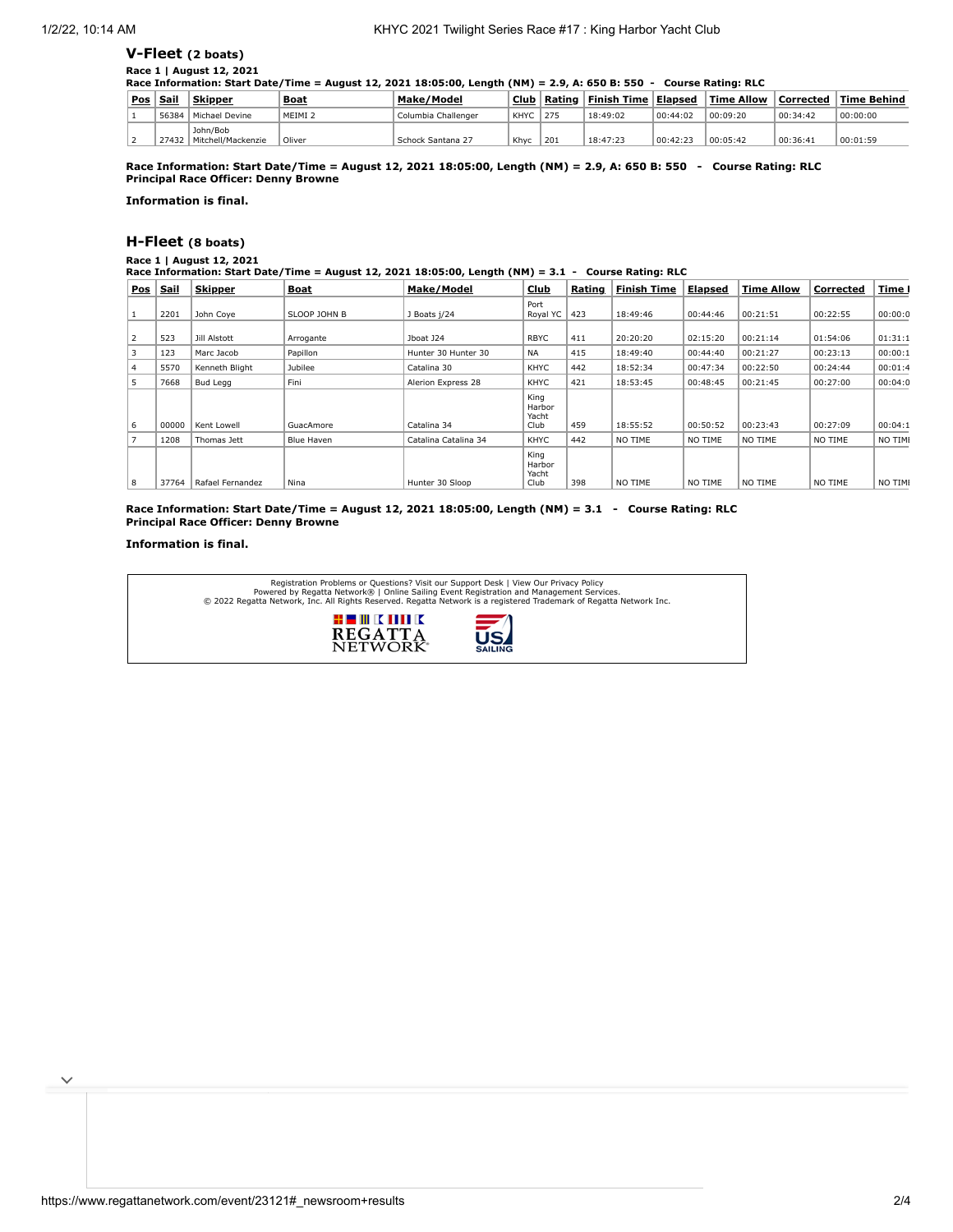## **[V-Fleet](https://www.regattanetwork.com/clubmgmt/applet_race_scores_khyc.php?regatta_id=23121&race_num=1) (2 boats) Race 1 | August 12, 2021**

**Race Information: Start Date/Time = August 12, 2021 18:05:00, Length (NM) = 2.9, A: 650 B: 550 - Course Rating: RLC**

| Pos | Sail  | <u>Skipper</u>                              | <u>Boat</u>        | Make/Model          | Club | Rating | Finish Time | Elapsed   | <b>Time Allow</b> | Corrected | <b>Time Behind</b> |
|-----|-------|---------------------------------------------|--------------------|---------------------|------|--------|-------------|-----------|-------------------|-----------|--------------------|
|     | 56384 | Michael Devine                              | MEIMI <sub>2</sub> | Columbia Challenger | KHYC | 275    | 18:49:02    | 00:44:02  | 00:09:20          | 00:34:42  | 00:00:00           |
|     | 27432 | John/Bob<br><sup>1</sup> Mitchell/Mackenzie | Oliver             | Schock Santana 27   | Khyo | 201    | 18:47:23    | 100:42:27 | 00:05:42          | 00:36:41  | 00:01:59           |

**Race Information: Start Date/Time = August 12, 2021 18:05:00, Length (NM) = 2.9, A: 650 B: 550 - Course Rating: RLC Principal Race Officer: Denny Browne**

**Information is final.**

# **[H-Fleet](https://www.regattanetwork.com/clubmgmt/applet_race_scores_khyc.php?regatta_id=23121&race_num=1) (8 boats)**

**Race 1 | August 12, 2021 Race Information: Start Date/Time = August 12, 2021 18:05:00, Length (NM) = 3.1 - Course Rating: RLC**

| <b>Pos</b>     | <u>Sail</u> | <b>Skipper</b>   | <b>Boat</b>  | Make/Model           | Club                            | Rating | <b>Finish Time</b> | <b>Elapsed</b> | <b>Time Allow</b> | Corrected | Time I  |
|----------------|-------------|------------------|--------------|----------------------|---------------------------------|--------|--------------------|----------------|-------------------|-----------|---------|
|                |             |                  |              |                      | Port                            |        |                    |                |                   |           |         |
|                | 2201        | John Coye        | SLOOP JOHN B | J Boats j/24         | Royal YC                        | 423    | 18:49:46           | 00:44:46       | 00:21:51          | 00:22:55  | 00:00:0 |
| $\overline{2}$ | 523         | Jill Alstott     | Arrogante    | Jboat J24            | <b>RBYC</b>                     | 411    | 20:20:20           | 02:15:20       | 00:21:14          | 01:54:06  | 01:31:1 |
|                | 123         | Marc Jacob       | Papillon     | Hunter 30 Hunter 30  | <b>NA</b>                       | 415    | 18:49:40           | 00:44:40       | 00:21:27          | 00:23:13  | 00:00:1 |
| 4              | 5570        | Kenneth Blight   | Jubilee      | Catalina 30          | KHYC                            | 442    | 18:52:34           | 00:47:34       | 00:22:50          | 00:24:44  | 00:01:4 |
|                | 7668        | Bud Legg         | Fini         | Alerion Express 28   | KHYC                            | 421    | 18:53:45           | 00:48:45       | 00:21:45          | 00:27:00  | 00:04:0 |
| 6              | 00000       | Kent Lowell      | GuacAmore    | Catalina 34          | King<br>Harbor<br>Yacht<br>Club | 459    | 18:55:52           | 00:50:52       | 00:23:43          | 00:27:09  | 00:04:1 |
|                | 1208        | Thomas Jett      | Blue Haven   | Catalina Catalina 34 | KHYC                            | 442    | NO TIME            | NO TIME        | NO TIME           | NO TIME   | NO TIMI |
| 8              | 37764       | Rafael Fernandez | Nina         | Hunter 30 Sloop      | King<br>Harbor<br>Yacht<br>Club | 398    | NO TIME            | NO TIME        | NO TIME           | NO TIME   | NO TIMI |

**Race Information: Start Date/Time = August 12, 2021 18:05:00, Length (NM) = 3.1 - Course Rating: RLC Principal Race Officer: Denny Browne**

## **Information is final.**

| Registration Problems or Questions? Visit our Support Desk   View Our Privacy Policy<br>Powered by Regatta Network®   Online Sailing Event Registration and Management Services.<br>© 2022 Regatta Network, Inc. All Rights Reserved. Regatta Network is a registered Trademark of Regatta Network Inc. |                                   |  |  |  |  |  |
|---------------------------------------------------------------------------------------------------------------------------------------------------------------------------------------------------------------------------------------------------------------------------------------------------------|-----------------------------------|--|--|--|--|--|
| <b>HEMIKHIIK</b><br><b>REGATTA</b><br><b>NETWORK</b>                                                                                                                                                                                                                                                    | $\overline{55}$<br><b>SAILING</b> |  |  |  |  |  |

 $\checkmark$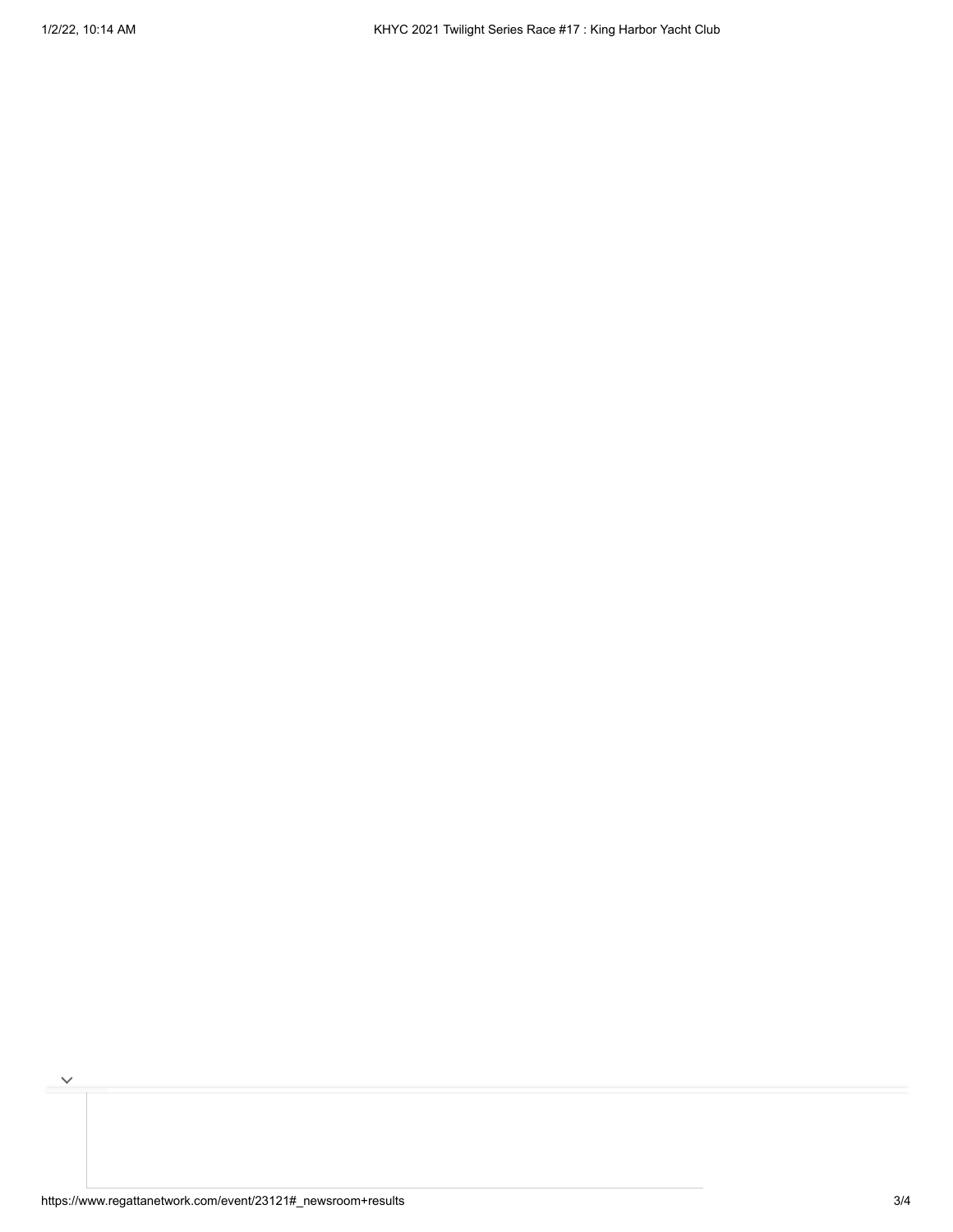$\vee$